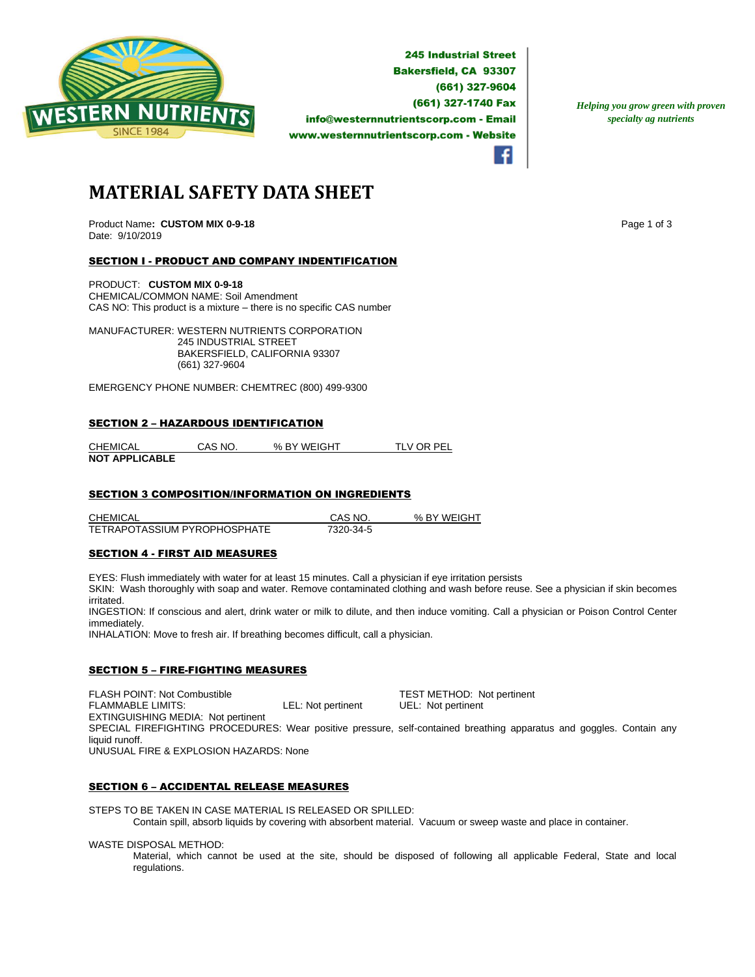

**245 Industrial Street Bakersfield, CA 93307** (661) 327-9604 (661) 327-1740 Fax info@westernnutrientscorp.com - Email www.westernnutrientscorp.com - Website

*Helping you grow green with proven specialty ag nutrients*

**MATERIAL SAFETY DATA SHEET**

Product Name: CUSTOM MIX 0-9-18 **Page 1 of 3 Page 1 of 3 Page 1 of 3** Date: 9/10/2019

## SECTION I - PRODUCT AND COMPANY INDENTIFICATION

PRODUCT: **CUSTOM MIX 0-9-18** CHEMICAL/COMMON NAME: Soil Amendment CAS NO: This product is a mixture – there is no specific CAS number

MANUFACTURER: WESTERN NUTRIENTS CORPORATION 245 INDUSTRIAL STREET BAKERSFIELD, CALIFORNIA 93307 (661) 327-9604

EMERGENCY PHONE NUMBER: CHEMTREC (800) 499-9300

#### SECTION 2 – HAZARDOUS IDENTIFICATION

CHEMICAL CAS NO. % BY WEIGHT TLV OR PEL **NOT APPLICABLE** 

### SECTION 3 COMPOSITION/INFORMATION ON INGREDIENTS

CHEMICAL CAS NO. % BY WEIGHT TETRAPOTASSIUM PYROPHOSPHATE 7320-34-5

### SECTION 4 - FIRST AID MEASURES

EYES: Flush immediately with water for at least 15 minutes. Call a physician if eye irritation persists

SKIN: Wash thoroughly with soap and water. Remove contaminated clothing and wash before reuse. See a physician if skin becomes irritated.

INGESTION: If conscious and alert, drink water or milk to dilute, and then induce vomiting. Call a physician or Poison Control Center immediately.

INHALATION: Move to fresh air. If breathing becomes difficult, call a physician.

### SECTION 5 – FIRE-FIGHTING MEASURES

FLASH POINT: Not Combustible **TEST METHOD:** Not pertinent<br>
FLAMMABLE LIMITS: COMBUST LEL: Not pertinent UEL: Not pertinent FLAMMABLE LIMITS: LEL: Not pertinent UEL: Not pertinent EXTINGUISHING MEDIA: Not pertinent SPECIAL FIREFIGHTING PROCEDURES: Wear positive pressure, self-contained breathing apparatus and goggles. Contain any liquid runoff. UNUSUAL FIRE & EXPLOSION HAZARDS: None

#### SECTION 6 – ACCIDENTAL RELEASE MEASURES

STEPS TO BE TAKEN IN CASE MATERIAL IS RELEASED OR SPILLED: Contain spill, absorb liquids by covering with absorbent material. Vacuum or sweep waste and place in container.

WASTE DISPOSAL METHOD:

Material, which cannot be used at the site, should be disposed of following all applicable Federal, State and local regulations.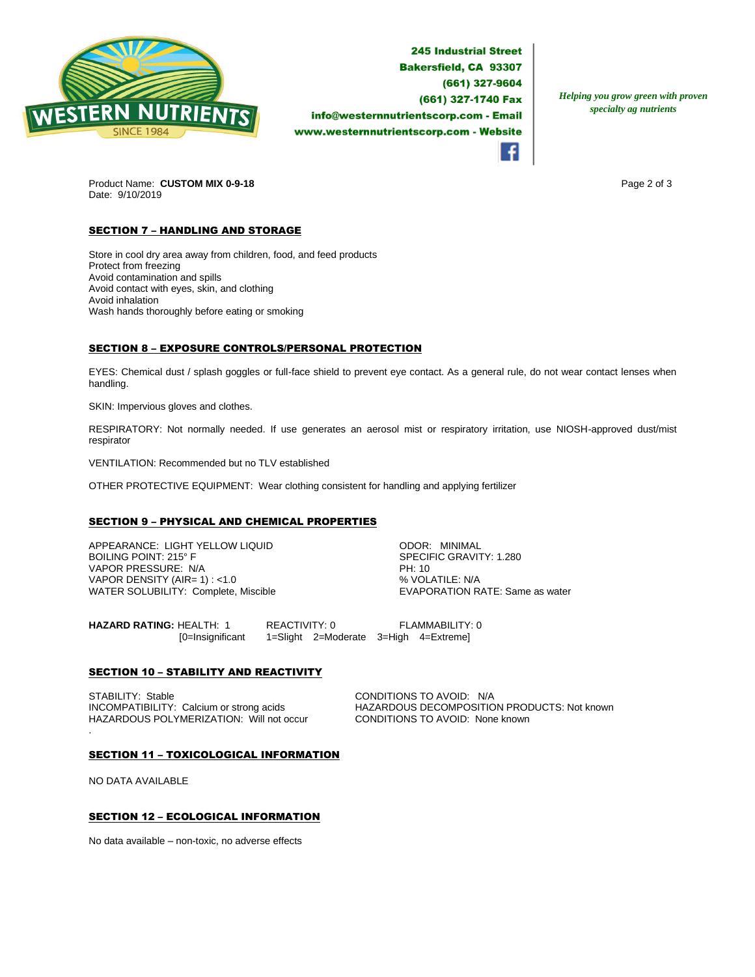

**245 Industrial Street Bakersfield, CA 93307** (661) 327-9604 (661) 327-1740 Fax info@westernnutrientscorp.com - Email www.westernnutrientscorp.com - Website

*Helping you grow green with proven specialty ag nutrients*

Product Name: **CUSTOM MIX 0-9-18 Page 2 of 3 Page 2 of 3** Date: 9/10/2019

# **SECTION 7 - HANDLING AND STORAGE**

Store in cool dry area away from children, food, and feed products Protect from freezing Avoid contamination and spills Avoid contact with eyes, skin, and clothing Avoid inhalation Wash hands thoroughly before eating or smoking

## SECTION 8 – EXPOSURE CONTROLS/PERSONAL PROTECTION

EYES: Chemical dust / splash goggles or full-face shield to prevent eye contact. As a general rule, do not wear contact lenses when handling.

SKIN: Impervious gloves and clothes.

RESPIRATORY: Not normally needed. If use generates an aerosol mist or respiratory irritation, use NIOSH-approved dust/mist respirator

VENTILATION: Recommended but no TLV established

OTHER PROTECTIVE EQUIPMENT: Wear clothing consistent for handling and applying fertilizer

### SECTION 9 – PHYSICAL AND CHEMICAL PROPERTIES

APPEARANCE: LIGHT YELLOW LIQUID ODOR: MINIMAL VAPOR PRESSURE: N/A PH: 10 VAPOR DENSITY (AIR= 1) : <1.0<br>
WATER SOLUBILITY: Complete, Miscible  $\begin{array}{c} \text{WAYN} = \text{WAYN} \\ \text{WAYN} = \text{WAYN} \end{array}$ WATER SOLUBILITY: Complete, Miscible

SPECIFIC GRAVITY: 1.280

**HAZARD RATING:** HEALTH: 1 REACTIVITY: 0 FLAMMABILITY: 0 [0=Insignificant 1=Slight 2=Moderate 3=High 4=Extreme]

### **SECTION 10 - STABILITY AND REACTIVITY**

STABILITY: Stable Calcium or strong acids CONDITIONS TO AVOID: N/A<br>
INCOMPATIBILITY: Calcium or strong acids CHAZARDOUS DECOMPOSITIC HAZARDOUS POLYMERIZATION: Will not occur CONDITIONS TO AVOID: None known

HAZARDOUS DECOMPOSITION PRODUCTS: Not known

#### SECTION 11 – TOXICOLOGICAL INFORMATION

NO DATA AVAILABLE

.

### SECTION 12 – ECOLOGICAL INFORMATION

No data available – non-toxic, no adverse effects